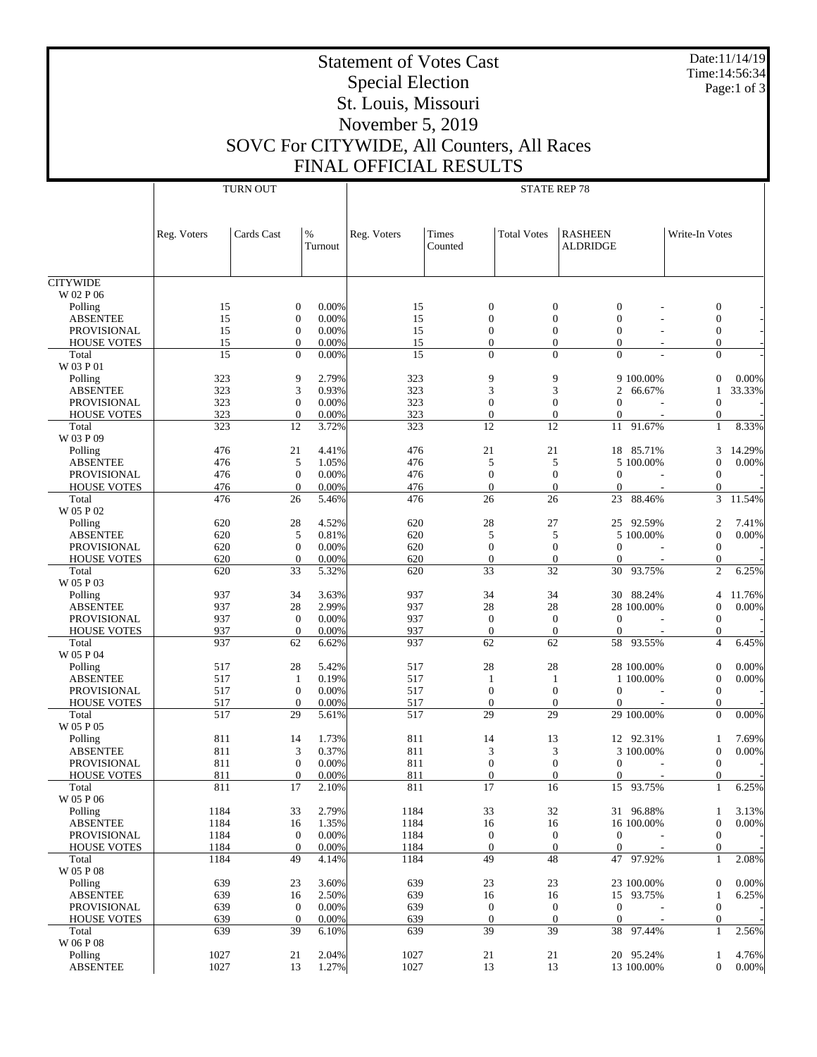Date:11/14/19 Time:14:56:34 Page:1 of 3

## Statement of Votes Cast Special Election St. Louis, Missouri November 5, 2019 SOVC For CITYWIDE, All Counters, All Races FINAL OFFICIAL RESULTS

|                             |              | <b>TURN OUT</b>                  |                | <b>STATE REP 78</b> |                                  |                                  |                                  |                                  |        |  |
|-----------------------------|--------------|----------------------------------|----------------|---------------------|----------------------------------|----------------------------------|----------------------------------|----------------------------------|--------|--|
|                             |              |                                  |                |                     |                                  |                                  |                                  |                                  |        |  |
|                             |              |                                  |                |                     |                                  |                                  |                                  |                                  |        |  |
|                             | Reg. Voters  | Cards Cast                       | $\%$           | Reg. Voters         | Times                            | <b>Total Votes</b>               | <b>RASHEEN</b>                   | Write-In Votes                   |        |  |
|                             |              |                                  | Turnout        |                     | Counted                          |                                  | <b>ALDRIDGE</b>                  |                                  |        |  |
|                             |              |                                  |                |                     |                                  |                                  |                                  |                                  |        |  |
| <b>CITYWIDE</b>             |              |                                  |                |                     |                                  |                                  |                                  |                                  |        |  |
| W 02 P 06                   | 15           | $\boldsymbol{0}$                 | 0.00%          | 15                  | $\mathbf{0}$                     | $\boldsymbol{0}$                 | $\mathbf{0}$                     | $\boldsymbol{0}$                 |        |  |
| Polling<br><b>ABSENTEE</b>  | 15           | $\boldsymbol{0}$                 | 0.00%          | 15                  | $\mathbf{0}$                     | $\mathbf{0}$                     | $\mathbf{0}$                     | $\mathbf{0}$                     |        |  |
| <b>PROVISIONAL</b>          | 15           | $\boldsymbol{0}$                 | 0.00%          | 15                  | $\mathbf{0}$                     | $\mathbf{0}$                     | $\overline{0}$                   | $\boldsymbol{0}$                 |        |  |
| <b>HOUSE VOTES</b>          | 15           | $\mathbf{0}$                     | 0.00%          | 15                  | $\mathbf{0}$                     | $\Omega$                         | $\overline{0}$                   | $\mathbf{0}$                     |        |  |
| Total                       | 15           | $\mathbf{0}$                     | 0.00%          | 15                  | $\Omega$                         | $\Omega$                         | $\theta$                         | $\mathbf{0}$                     |        |  |
| W 03 P 01<br>Polling        | 323          | 9                                | 2.79%          | 323                 | 9                                | 9                                | 9 100.00%                        | $\mathbf{0}$                     | 0.00%  |  |
| <b>ABSENTEE</b>             | 323          | 3                                | 0.93%          | 323                 | 3                                | 3                                | 2<br>66.67%                      |                                  | 33.33% |  |
| <b>PROVISIONAL</b>          | 323          | $\boldsymbol{0}$                 | 0.00%          | 323                 | $\mathbf{0}$                     | $\mathbf{0}$                     | $\overline{0}$                   | $\boldsymbol{0}$                 |        |  |
| <b>HOUSE VOTES</b>          | 323          | $\boldsymbol{0}$                 | 0.00%          | 323                 | $\mathbf{0}$                     | $\mathbf{0}$                     | $\overline{0}$                   | $\mathbf{0}$                     |        |  |
| Total<br>W 03 P 09          | 323          | 12                               | 3.72%          | 323                 | 12                               | 12                               | 91.67%<br>11                     | $\mathbf{1}$                     | 8.33%  |  |
| Polling                     | 476          | 21                               | 4.41%          | 476                 | 21                               | 21                               | 85.71%<br>18                     | 3                                | 14.29% |  |
| <b>ABSENTEE</b>             | 476          | 5                                | 1.05%          | 476                 | 5                                | 5                                | 5 100.00%                        | $\mathbf{0}$                     | 0.00%  |  |
| <b>PROVISIONAL</b>          | 476          | $\boldsymbol{0}$                 | 0.00%          | 476                 | $\mathbf{0}$                     | $\mathbf{0}$                     | $\mathbf{0}$                     | $\mathbf{0}$                     |        |  |
| <b>HOUSE VOTES</b>          | 476          | $\boldsymbol{0}$                 | 0.00%          | 476                 | $\mathbf{0}$                     | $\Omega$                         | $\overline{0}$                   | $\mathbf{0}$                     |        |  |
| Total<br>W 05 P 02          | 476          | 26                               | 5.46%          | 476                 | 26                               | 26                               | 23<br>88.46%                     | 3                                | 11.54% |  |
| Polling                     | 620          | 28                               | 4.52%          | 620                 | 28                               | 27                               | 92.59%<br>25                     | 2                                | 7.41%  |  |
| <b>ABSENTEE</b>             | 620          | 5                                | 0.81%          | 620                 | 5                                | 5                                | 5 100,00%                        | $\mathbf{0}$                     | 0.00%  |  |
| <b>PROVISIONAL</b>          | 620          | $\boldsymbol{0}$                 | 0.00%          | 620                 | $\mathbf{0}$                     | $\boldsymbol{0}$                 | $\mathbf{0}$                     | $\mathbf{0}$                     |        |  |
| <b>HOUSE VOTES</b>          | 620          | $\boldsymbol{0}$                 | 0.00%          | 620                 | $\mathbf{0}$                     | $\mathbf{0}$                     | $\overline{0}$                   | $\mathbf{0}$                     |        |  |
| Total<br>W 05 P 03          | 620          | 33                               | 5.32%          | 620                 | 33                               | 32                               | 30<br>93.75%                     | $\overline{c}$                   | 6.25%  |  |
| Polling                     | 937          | 34                               | 3.63%          | 937                 | 34                               | 34                               | 88.24%<br>30                     | $\overline{4}$                   | 11.76% |  |
| <b>ABSENTEE</b>             | 937          | 28                               | 2.99%          | 937                 | 28                               | $28\,$                           | 28 100.00%                       | $\mathbf{0}$                     | 0.00%  |  |
| <b>PROVISIONAL</b>          | 937          | $\mathbf{0}$                     | 0.00%          | 937                 | $\boldsymbol{0}$                 | $\boldsymbol{0}$                 | $\theta$                         | $\mathbf{0}$                     |        |  |
| <b>HOUSE VOTES</b><br>Total | 937<br>937   | $\boldsymbol{0}$<br>62           | 0.00%<br>6.62% | 937<br>937          | $\mathbf{0}$<br>62               | $\mathbf{0}$<br>62               | $\theta$<br>58<br>93.55%         | 0<br>$\overline{4}$              | 6.45%  |  |
| W 05 P 04                   |              |                                  |                |                     |                                  |                                  |                                  |                                  |        |  |
| Polling                     | 517          | 28                               | 5.42%          | 517                 | 28                               | 28                               | 28 100.00%                       | $\boldsymbol{0}$                 | 0.00%  |  |
| <b>ABSENTEE</b>             | 517          | $\mathbf{1}$                     | 0.19%          | 517                 | 1                                | 1                                | 1 100.00%                        | $\mathbf{0}$                     | 0.00%  |  |
| <b>PROVISIONAL</b>          | 517          | $\boldsymbol{0}$                 | 0.00%          | 517                 | $\mathbf{0}$                     | $\boldsymbol{0}$                 | $\mathbf{0}$                     | $\mathbf{0}$                     |        |  |
| <b>HOUSE VOTES</b><br>Total | 517<br>517   | $\boldsymbol{0}$<br>29           | 0.00%<br>5.61% | 517<br>517          | $\boldsymbol{0}$<br>29           | $\mathbf{0}$<br>29               | $\overline{0}$<br>29 100.00%     | 0<br>$\Omega$                    | 0.00%  |  |
| W 05 P 05                   |              |                                  |                |                     |                                  |                                  |                                  |                                  |        |  |
| Polling                     | 811          | 14                               | 1.73%          | 811                 | 14                               | 13                               | 92.31%<br>12                     | 1                                | 7.69%  |  |
| <b>ABSENTEE</b>             | 811          | 3                                | 0.37%          | 811                 | 3                                | 3                                | 3 100.00%                        | $\mathbf{0}$                     | 0.00%  |  |
| <b>PROVISIONAL</b>          | 811          | $\boldsymbol{0}$<br>$\Omega$     | 0.00%          | 811                 | $\mathbf{0}$<br>$\Omega$         | $\boldsymbol{0}$<br>$\Omega$     | $\overline{0}$<br>$\overline{0}$ | $\boldsymbol{0}$<br>$\Omega$     |        |  |
| <b>HOUSE VOTES</b><br>Total | 811<br>811   | 17                               | 0.00%<br>2.10% | 811<br>811          | 17                               | 16                               | 15 93.75%                        | $\mathbf{1}$                     | 6.25%  |  |
| W 05 P 06                   |              |                                  |                |                     |                                  |                                  |                                  |                                  |        |  |
| Polling                     | 1184         | 33                               | 2.79%          | 1184                | 33                               | 32                               | 96.88%<br>31                     | 1                                | 3.13%  |  |
| <b>ABSENTEE</b>             | 1184         | 16                               | 1.35%          | 1184                | 16                               | 16                               | 16 100.00%                       | $\mathbf{0}$                     | 0.00%  |  |
| PROVISIONAL                 | 1184<br>1184 | $\mathbf{0}$<br>$\boldsymbol{0}$ | 0.00%          | 1184                | $\boldsymbol{0}$<br>$\mathbf{0}$ | $\boldsymbol{0}$<br>$\mathbf{0}$ | $\mathbf{0}$<br>$\mathbf{0}$     | $\mathbf{0}$<br>$\mathbf{0}$     |        |  |
| <b>HOUSE VOTES</b><br>Total | 1184         | 49                               | 0.00%<br>4.14% | 1184<br>1184        | 49                               | 48                               | 47<br>97.92%                     | 1                                | 2.08%  |  |
| W 05 P 08                   |              |                                  |                |                     |                                  |                                  |                                  |                                  |        |  |
| Polling                     | 639          | 23                               | 3.60%          | 639                 | 23                               | 23                               | 23 100.00%                       | $\boldsymbol{0}$                 | 0.00%  |  |
| <b>ABSENTEE</b>             | 639          | 16                               | 2.50%          | 639                 | 16                               | 16                               | 15 93.75%                        | 1                                | 6.25%  |  |
| PROVISIONAL                 | 639          | $\mathbf{0}$                     | 0.00%          | 639                 | $\boldsymbol{0}$                 | $\boldsymbol{0}$<br>$\mathbf{0}$ | $\mathbf{0}$                     | $\mathbf{0}$                     |        |  |
| <b>HOUSE VOTES</b><br>Total | 639<br>639   | $\boldsymbol{0}$<br>39           | 0.00%<br>6.10% | 639<br>639          | $\mathbf{0}$<br>39               | 39                               | $\mathbf{0}$<br>38<br>97.44%     | $\boldsymbol{0}$<br>$\mathbf{1}$ | 2.56%  |  |
| W 06 P 08                   |              |                                  |                |                     |                                  |                                  |                                  |                                  |        |  |
| Polling                     | 1027         | 21                               | 2.04%          | 1027                | 21                               | 21                               | 20 95.24%                        | 1                                | 4.76%  |  |
| <b>ABSENTEE</b>             | 1027         | 13                               | 1.27%          | 1027                | 13                               | 13                               | 13 100.00%                       | $\overline{0}$                   | 0.00%  |  |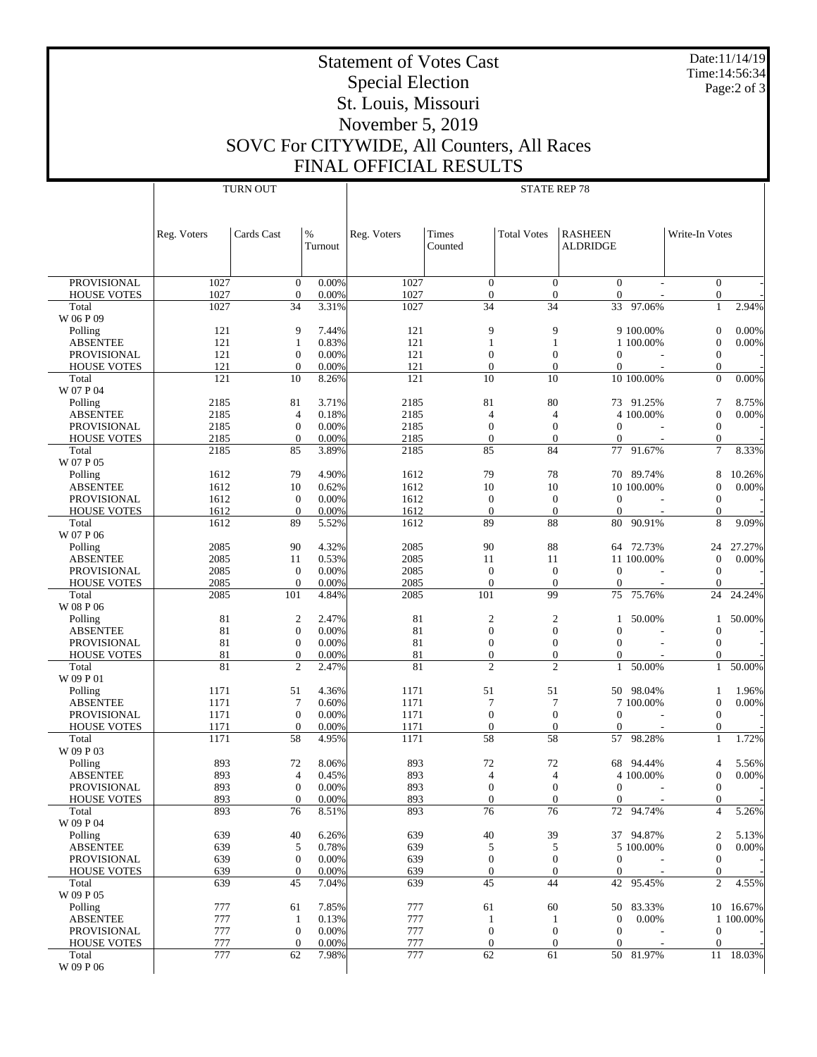Date:11/14/19 Time:14:56:34 Page:2 of 3

## Statement of Votes Cast Special Election St. Louis, Missouri November 5, 2019 SOVC For CITYWIDE, All Counters, All Races FINAL OFFICIAL RESULTS

|                                          |              | <b>TURN OUT</b>                      |                | <b>STATE REP 78</b> |                                  |                                  |                                      |                          |                                  |           |
|------------------------------------------|--------------|--------------------------------------|----------------|---------------------|----------------------------------|----------------------------------|--------------------------------------|--------------------------|----------------------------------|-----------|
|                                          |              |                                      |                |                     |                                  |                                  |                                      |                          |                                  |           |
|                                          |              |                                      |                |                     |                                  |                                  |                                      |                          |                                  |           |
|                                          | Reg. Voters  | Cards Cast                           | $\%$           | Reg. Voters         | Times                            | <b>Total Votes</b>               | <b>RASHEEN</b>                       |                          | Write-In Votes                   |           |
|                                          |              |                                      | Turnout        |                     | Counted                          |                                  | <b>ALDRIDGE</b>                      |                          |                                  |           |
|                                          |              |                                      |                |                     |                                  |                                  |                                      |                          |                                  |           |
|                                          |              |                                      |                |                     |                                  |                                  |                                      |                          |                                  |           |
| <b>PROVISIONAL</b>                       | 1027         | $\boldsymbol{0}$                     | 0.00%          | 1027                | $\mathbf{0}$                     | $\overline{0}$                   | $\mathbf{0}$                         |                          | $\boldsymbol{0}$                 |           |
| <b>HOUSE VOTES</b>                       | 1027         | $\mathbf{0}$                         | 0.00%          | 1027                | $\mathbf{0}$                     | $\overline{0}$                   | $\mathbf{0}$                         |                          | $\mathbf{0}$                     |           |
| Total<br>W 06 P 09                       | 1027         | 34                                   | 3.31%          | 1027                | $\overline{34}$                  | $\overline{34}$                  | 33                                   | 97.06%                   | $\mathbf{1}$                     | 2.94%     |
| Polling                                  | 121          | 9                                    | 7.44%          | 121                 | 9                                | 9                                |                                      | 9 100.00%                | $\boldsymbol{0}$                 | 0.00%     |
| <b>ABSENTEE</b>                          | 121          | $\mathbf{1}$                         | 0.83%          | 121                 | $\mathbf{1}$                     | $\mathbf{1}$                     |                                      | 1 100.00%                | $\mathbf{0}$                     | 0.00%     |
| <b>PROVISIONAL</b>                       | 121          | $\boldsymbol{0}$                     | 0.00%          | 121                 | $\boldsymbol{0}$                 | $\mathbf{0}$                     | $\boldsymbol{0}$                     |                          | $\boldsymbol{0}$                 |           |
| <b>HOUSE VOTES</b>                       | 121          | $\mathbf{0}$                         | 0.00%          | 121                 | $\theta$                         | $\overline{0}$                   | $\mathbf{0}$                         | $\overline{a}$           | $\mathbf{0}$                     |           |
| Total                                    | 121          | 10                                   | 8.26%          | 121                 | 10                               | 10                               |                                      | 10 100.00%               | $\overline{0}$                   | 0.00%     |
| W 07 P 04                                |              |                                      |                |                     |                                  |                                  |                                      |                          |                                  |           |
| Polling                                  | 2185         | 81                                   | 3.71%          | 2185                | 81                               | 80                               |                                      | 73 91.25%                | 7                                | 8.75%     |
| <b>ABSENTEE</b>                          | 2185         | $\overline{4}$                       | 0.18%          | 2185                | $\overline{4}$                   | $\overline{4}$                   |                                      | 4 100.00%                | $\boldsymbol{0}$                 | 0.00%     |
| <b>PROVISIONAL</b><br><b>HOUSE VOTES</b> | 2185<br>2185 | $\boldsymbol{0}$<br>$\mathbf{0}$     | 0.00%<br>0.00% | 2185<br>2185        | $\mathbf{0}$<br>$\mathbf{0}$     | $\mathbf{0}$<br>$\mathbf{0}$     | $\mathbf{0}$<br>$\mathbf{0}$         | $\sim$                   | $\boldsymbol{0}$<br>$\mathbf{0}$ |           |
| Total                                    | 2185         | 85                                   | 3.89%          | 2185                | 85                               | 84                               | 77                                   | 91.67%                   | $\overline{7}$                   | 8.33%     |
| W 07 P 05                                |              |                                      |                |                     |                                  |                                  |                                      |                          |                                  |           |
| Polling                                  | 1612         | 79                                   | 4.90%          | 1612                | 79                               | 78                               |                                      | 70 89.74%                | 8                                | 10.26%    |
| <b>ABSENTEE</b>                          | 1612         | 10                                   | 0.62%          | 1612                | 10                               | 10                               |                                      | 10 100.00%               | $\boldsymbol{0}$                 | 0.00%     |
| PROVISIONAL                              | 1612         | $\boldsymbol{0}$                     | 0.00%          | 1612                | $\mathbf{0}$                     | $\mathbf{0}$                     | $\mathbf{0}$                         | $\overline{\phantom{a}}$ | $\mathbf{0}$                     |           |
| <b>HOUSE VOTES</b>                       | 1612         | $\mathbf{0}$                         | 0.00%          | 1612                | $\mathbf{0}$                     | $\mathbf{0}$                     | $\boldsymbol{0}$                     | $\overline{\phantom{a}}$ | $\mathbf{0}$                     |           |
| Total                                    | 1612         | 89                                   | 5.52%          | 1612                | 89                               | 88                               | 80                                   | 90.91%                   | 8                                | 9.09%     |
| W 07 P 06<br>Polling                     | 2085         | 90                                   | 4.32%          | 2085                | 90                               | 88                               |                                      | 64 72.73%                | 24                               | 27.27%    |
| <b>ABSENTEE</b>                          | 2085         | 11                                   | 0.53%          | 2085                | 11                               | 11                               |                                      | 11 100.00%               | $\mathbf{0}$                     | 0.00%     |
| <b>PROVISIONAL</b>                       | 2085         | $\boldsymbol{0}$                     | 0.00%          | 2085                | $\boldsymbol{0}$                 | $\mathbf{0}$                     | $\mathbf{0}$                         | $\overline{\phantom{a}}$ | $\mathbf{0}$                     |           |
| <b>HOUSE VOTES</b>                       | 2085         | $\mathbf{0}$                         | 0.00%          | 2085                | $\theta$                         | $\mathbf{0}$                     | $\theta$                             |                          | $\mathbf{0}$                     |           |
| Total                                    | 2085         | 101                                  | 4.84%          | 2085                | 101                              | 99                               | 75                                   | 75.76%                   | 24                               | 24.24%    |
| W 08 P 06                                |              |                                      |                |                     |                                  |                                  |                                      |                          |                                  |           |
| Polling                                  | 81           | $\boldsymbol{2}$                     | 2.47%          | 81                  | $\mathbf{2}$                     | $\mathfrak{2}$                   | 1                                    | 50.00%                   | 1                                | 50.00%    |
| <b>ABSENTEE</b>                          | 81           | $\mathbf{0}$                         | 0.00%          | 81                  | $\mathbf{0}$                     | $\mathbf{0}$                     | $\mathbf{0}$                         |                          | $\boldsymbol{0}$                 |           |
| <b>PROVISIONAL</b><br><b>HOUSE VOTES</b> | 81<br>81     | $\boldsymbol{0}$<br>$\boldsymbol{0}$ | 0.00%<br>0.00% | 81<br>81            | $\mathbf{0}$<br>$\boldsymbol{0}$ | $\mathbf{0}$<br>$\boldsymbol{0}$ | $\mathbf{0}$<br>$\boldsymbol{0}$     | $\overline{\phantom{a}}$ | $\mathbf{0}$<br>$\boldsymbol{0}$ |           |
| Total                                    | 81           | $\overline{2}$                       | 2.47%          | 81                  | $\overline{c}$                   | $\overline{c}$                   | $\mathbf{1}$                         | 50.00%                   | $\mathbf{1}$                     | 50.00%    |
| W 09 P 01                                |              |                                      |                |                     |                                  |                                  |                                      |                          |                                  |           |
| Polling                                  | 1171         | 51                                   | 4.36%          | 1171                | 51                               | 51                               |                                      | 50 98.04%                | 1                                | 1.96%     |
| <b>ABSENTEE</b>                          | 1171         | $\tau$                               | 0.60%          | 1171                | $\tau$                           | $\tau$                           |                                      | 7 100.00%                | $\boldsymbol{0}$                 | 0.00%     |
| PROVISIONAL                              | 1171         | $\boldsymbol{0}$                     | 0.00%          | 1171                | $\mathbf{0}$                     | $\mathbf{0}$                     | $\mathbf{0}$                         | $\overline{\phantom{a}}$ | $\boldsymbol{0}$                 |           |
| <b>HOUSE VOTES</b>                       | 1171         | $\boldsymbol{0}$                     | 0.00%          | 1171                | $\mathbf{0}$                     | $\overline{0}$                   | $\mathbf{0}$                         |                          | $\mathbf{0}$                     |           |
| Total                                    | 1171         | 58                                   | 4.95%          | 1171                | 58                               | 58                               | 57                                   | 98.28%                   | 1                                | 1.72%     |
| W 09 P 03<br>Polling                     | 893          | 72                                   | 8.06%          | 893                 | 72                               | 72                               | 68                                   | 94.44%                   | 4                                | 5.56%     |
| <b>ABSENTEE</b>                          | 893          | $\overline{4}$                       | 0.45%          | 893                 | $\overline{4}$                   | $\overline{4}$                   |                                      | 4 100.00%                | $\mathbf{0}$                     | 0.00%     |
| PROVISIONAL                              | 893          | $\boldsymbol{0}$                     | 0.00%          | 893                 | $\boldsymbol{0}$                 | $\boldsymbol{0}$                 | $\mathbf{0}$                         |                          | $\boldsymbol{0}$                 |           |
| <b>HOUSE VOTES</b>                       | 893          | $\boldsymbol{0}$                     | 0.00%          | 893                 | $\mathbf{0}$                     | $\mathbf{0}$                     | $\boldsymbol{0}$                     |                          | $\mathbf{0}$                     |           |
| Total                                    | 893          | 76                                   | 8.51%          | 893                 | 76                               | 76                               |                                      | 72 94.74%                | $\overline{4}$                   | 5.26%     |
| W 09 P 04                                |              |                                      |                |                     |                                  |                                  |                                      |                          |                                  |           |
| Polling                                  | 639          | 40                                   | 6.26%          | 639                 | 40                               | 39                               |                                      | 37 94.87%                | 2                                | 5.13%     |
| <b>ABSENTEE</b>                          | 639          | 5                                    | 0.78%          | 639                 | 5                                | 5                                |                                      | 5 100.00%                | $\boldsymbol{0}$                 | 0.00%     |
| <b>PROVISIONAL</b><br><b>HOUSE VOTES</b> | 639<br>639   | $\boldsymbol{0}$<br>$\mathbf{0}$     | 0.00%<br>0.00% | 639<br>639          | $\mathbf{0}$<br>$\boldsymbol{0}$ | $\boldsymbol{0}$<br>$\mathbf{0}$ | $\boldsymbol{0}$<br>$\boldsymbol{0}$ | $\overline{\phantom{a}}$ | $\mathbf{0}$<br>$\boldsymbol{0}$ |           |
| Total                                    | 639          | 45                                   | 7.04%          | 639                 | 45                               | 44                               | 42                                   | 95.45%                   | $\overline{c}$                   | 4.55%     |
| W 09 P 05                                |              |                                      |                |                     |                                  |                                  |                                      |                          |                                  |           |
| Polling                                  | 777          | 61                                   | 7.85%          | 777                 | 61                               | 60                               | 50                                   | 83.33%                   |                                  | 10 16.67% |
| <b>ABSENTEE</b>                          | 777          | $\mathbf{1}$                         | 0.13%          | 777                 | $\mathbf{1}$                     | 1                                | $\boldsymbol{0}$                     | 0.00%                    |                                  | 1 100.00% |
| PROVISIONAL                              | 777          | $\boldsymbol{0}$                     | 0.00%          | 777                 | $\boldsymbol{0}$                 | $\mathbf{0}$                     | $\boldsymbol{0}$                     |                          | $\mathbf{0}$                     |           |
| <b>HOUSE VOTES</b>                       | 777          | $\mathbf{0}$                         | 0.00%          | 777                 | $\boldsymbol{0}$                 | $\mathbf{0}$                     | $\mathbf{0}$                         |                          | $\mathbf{0}$                     |           |
| Total                                    | 777          | 62                                   | 7.98%          | 777                 | 62                               | 61                               |                                      | 50 81.97%                |                                  | 11 18.03% |
| W 09 P 06                                |              |                                      |                |                     |                                  |                                  |                                      |                          |                                  |           |